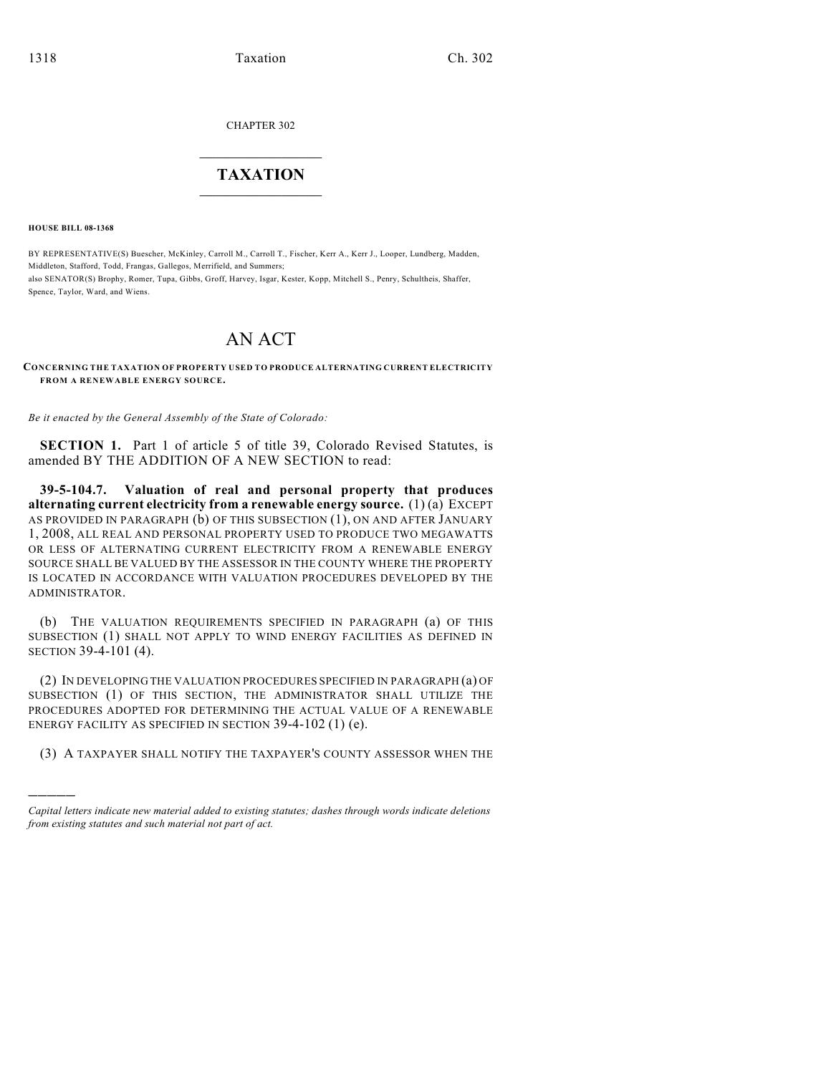CHAPTER 302

## $\mathcal{L}_\text{max}$  . The set of the set of the set of the set of the set of the set of the set of the set of the set of the set of the set of the set of the set of the set of the set of the set of the set of the set of the set **TAXATION**  $\_$

**HOUSE BILL 08-1368**

)))))

BY REPRESENTATIVE(S) Buescher, McKinley, Carroll M., Carroll T., Fischer, Kerr A., Kerr J., Looper, Lundberg, Madden, Middleton, Stafford, Todd, Frangas, Gallegos, Merrifield, and Summers; also SENATOR(S) Brophy, Romer, Tupa, Gibbs, Groff, Harvey, Isgar, Kester, Kopp, Mitchell S., Penry, Schultheis, Shaffer, Spence, Taylor, Ward, and Wiens.

# AN ACT

**CONCERNING THE TAXATION OF PROPERTY USED TO PRODUCE ALTERNATING CURRENT ELECTRICITY FROM A RENEWABLE ENERGY SOURCE.** 

*Be it enacted by the General Assembly of the State of Colorado:*

**SECTION 1.** Part 1 of article 5 of title 39, Colorado Revised Statutes, is amended BY THE ADDITION OF A NEW SECTION to read:

**39-5-104.7. Valuation of real and personal property that produces alternating current electricity from a renewable energy source.** (1) (a) EXCEPT AS PROVIDED IN PARAGRAPH (b) OF THIS SUBSECTION (1), ON AND AFTER JANUARY 1, 2008, ALL REAL AND PERSONAL PROPERTY USED TO PRODUCE TWO MEGAWATTS OR LESS OF ALTERNATING CURRENT ELECTRICITY FROM A RENEWABLE ENERGY SOURCE SHALL BE VALUED BY THE ASSESSOR IN THE COUNTY WHERE THE PROPERTY IS LOCATED IN ACCORDANCE WITH VALUATION PROCEDURES DEVELOPED BY THE ADMINISTRATOR.

(b) THE VALUATION REQUIREMENTS SPECIFIED IN PARAGRAPH (a) OF THIS SUBSECTION (1) SHALL NOT APPLY TO WIND ENERGY FACILITIES AS DEFINED IN SECTION 39-4-101 (4).

(2) IN DEVELOPING THE VALUATION PROCEDURES SPECIFIED IN PARAGRAPH (a) OF SUBSECTION (1) OF THIS SECTION, THE ADMINISTRATOR SHALL UTILIZE THE PROCEDURES ADOPTED FOR DETERMINING THE ACTUAL VALUE OF A RENEWABLE ENERGY FACILITY AS SPECIFIED IN SECTION 39-4-102 (1) (e).

(3) A TAXPAYER SHALL NOTIFY THE TAXPAYER'S COUNTY ASSESSOR WHEN THE

*Capital letters indicate new material added to existing statutes; dashes through words indicate deletions from existing statutes and such material not part of act.*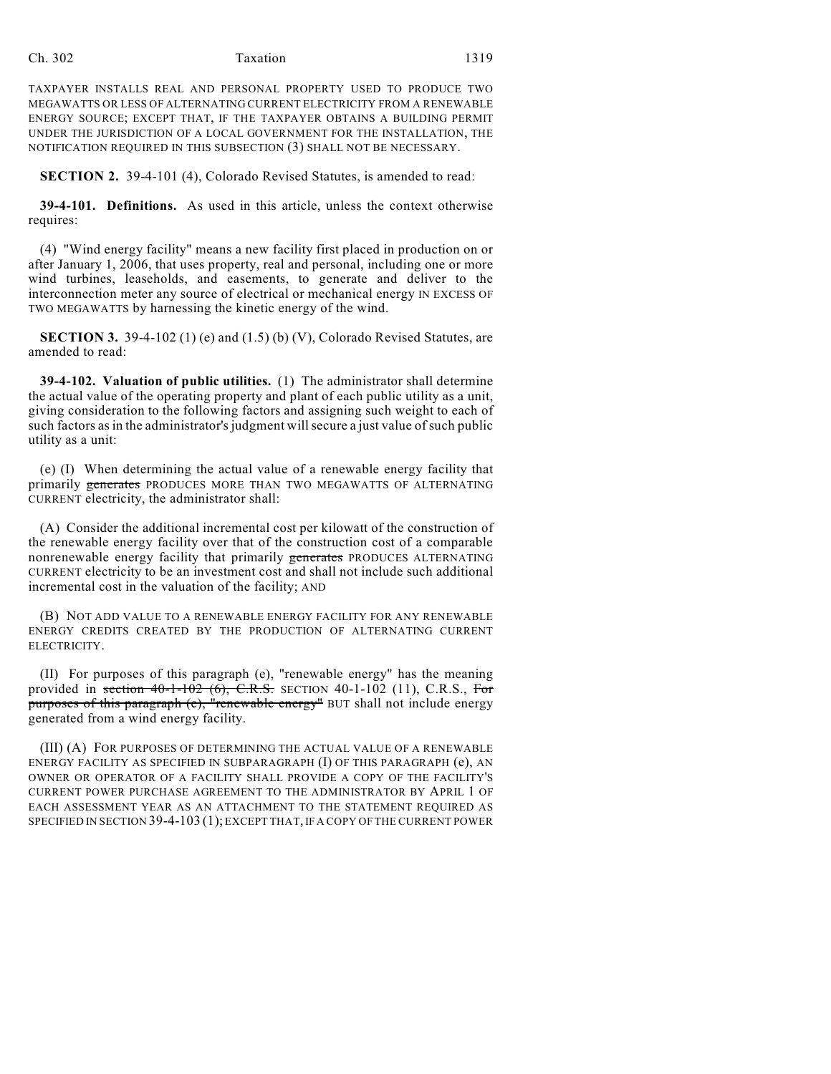#### Ch. 302 Taxation 1319

TAXPAYER INSTALLS REAL AND PERSONAL PROPERTY USED TO PRODUCE TWO MEGAWATTS OR LESS OF ALTERNATING CURRENT ELECTRICITY FROM A RENEWABLE ENERGY SOURCE; EXCEPT THAT, IF THE TAXPAYER OBTAINS A BUILDING PERMIT UNDER THE JURISDICTION OF A LOCAL GOVERNMENT FOR THE INSTALLATION, THE NOTIFICATION REQUIRED IN THIS SUBSECTION (3) SHALL NOT BE NECESSARY.

**SECTION 2.** 39-4-101 (4), Colorado Revised Statutes, is amended to read:

**39-4-101. Definitions.** As used in this article, unless the context otherwise requires:

(4) "Wind energy facility" means a new facility first placed in production on or after January 1, 2006, that uses property, real and personal, including one or more wind turbines, leaseholds, and easements, to generate and deliver to the interconnection meter any source of electrical or mechanical energy IN EXCESS OF TWO MEGAWATTS by harnessing the kinetic energy of the wind.

**SECTION 3.** 39-4-102 (1) (e) and (1.5) (b) (V), Colorado Revised Statutes, are amended to read:

**39-4-102. Valuation of public utilities.** (1) The administrator shall determine the actual value of the operating property and plant of each public utility as a unit, giving consideration to the following factors and assigning such weight to each of such factors as in the administrator's judgment will secure a just value of such public utility as a unit:

(e) (I) When determining the actual value of a renewable energy facility that primarily generates PRODUCES MORE THAN TWO MEGAWATTS OF ALTERNATING CURRENT electricity, the administrator shall:

(A) Consider the additional incremental cost per kilowatt of the construction of the renewable energy facility over that of the construction cost of a comparable nonrenewable energy facility that primarily generates PRODUCES ALTERNATING CURRENT electricity to be an investment cost and shall not include such additional incremental cost in the valuation of the facility; AND

(B) NOT ADD VALUE TO A RENEWABLE ENERGY FACILITY FOR ANY RENEWABLE ENERGY CREDITS CREATED BY THE PRODUCTION OF ALTERNATING CURRENT ELECTRICITY.

(II) For purposes of this paragraph (e), "renewable energy" has the meaning provided in section  $40-1-102$  (6), C.R.S. SECTION 40-1-102 (11), C.R.S., For purposes of this paragraph (e), "renewable energy" BUT shall not include energy generated from a wind energy facility.

(III) (A) FOR PURPOSES OF DETERMINING THE ACTUAL VALUE OF A RENEWABLE ENERGY FACILITY AS SPECIFIED IN SUBPARAGRAPH (I) OF THIS PARAGRAPH (e), AN OWNER OR OPERATOR OF A FACILITY SHALL PROVIDE A COPY OF THE FACILITY'S CURRENT POWER PURCHASE AGREEMENT TO THE ADMINISTRATOR BY APRIL 1 OF EACH ASSESSMENT YEAR AS AN ATTACHMENT TO THE STATEMENT REQUIRED AS SPECIFIED IN SECTION 39-4-103 (1); EXCEPT THAT, IF A COPY OF THE CURRENT POWER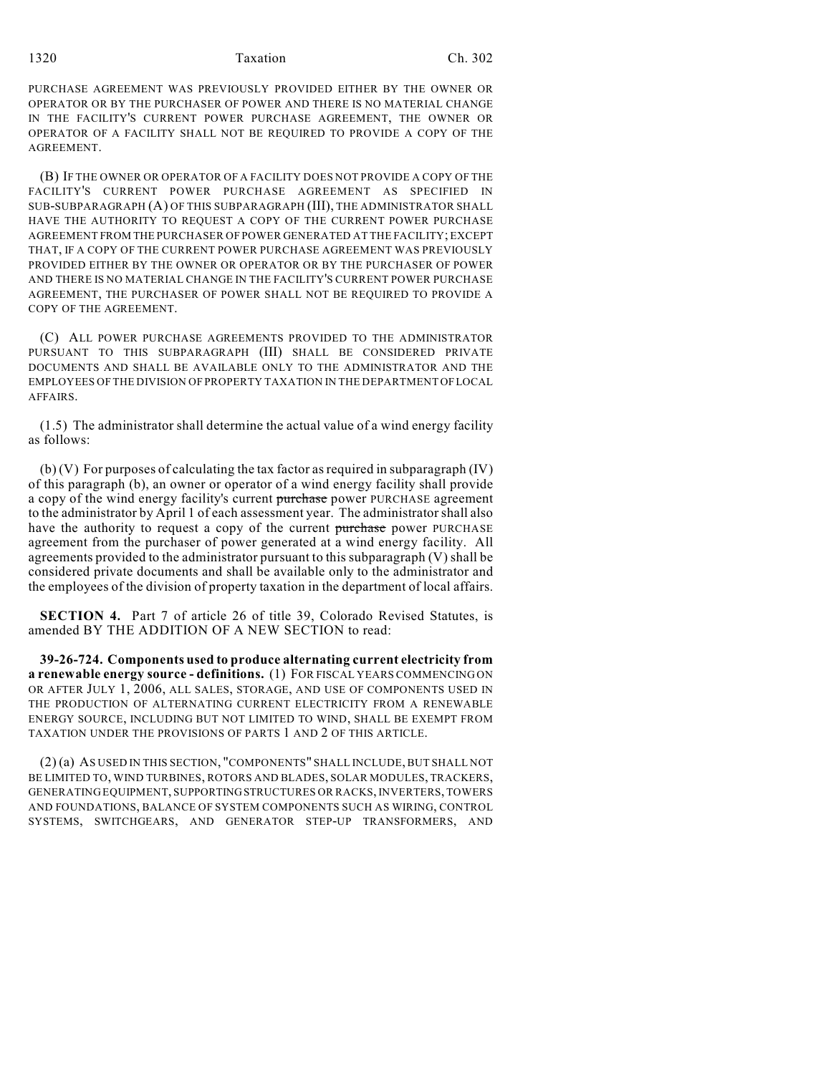1320 Taxation Ch. 302

PURCHASE AGREEMENT WAS PREVIOUSLY PROVIDED EITHER BY THE OWNER OR OPERATOR OR BY THE PURCHASER OF POWER AND THERE IS NO MATERIAL CHANGE IN THE FACILITY'S CURRENT POWER PURCHASE AGREEMENT, THE OWNER OR OPERATOR OF A FACILITY SHALL NOT BE REQUIRED TO PROVIDE A COPY OF THE AGREEMENT.

(B) IF THE OWNER OR OPERATOR OF A FACILITY DOES NOT PROVIDE A COPY OF THE FACILITY'S CURRENT POWER PURCHASE AGREEMENT AS SPECIFIED IN SUB-SUBPARAGRAPH (A) OF THIS SUBPARAGRAPH (III), THE ADMINISTRATOR SHALL HAVE THE AUTHORITY TO REQUEST A COPY OF THE CURRENT POWER PURCHASE AGREEMENT FROM THE PURCHASER OF POWER GENERATED AT THE FACILITY; EXCEPT THAT, IF A COPY OF THE CURRENT POWER PURCHASE AGREEMENT WAS PREVIOUSLY PROVIDED EITHER BY THE OWNER OR OPERATOR OR BY THE PURCHASER OF POWER AND THERE IS NO MATERIAL CHANGE IN THE FACILITY'S CURRENT POWER PURCHASE AGREEMENT, THE PURCHASER OF POWER SHALL NOT BE REQUIRED TO PROVIDE A COPY OF THE AGREEMENT.

(C) ALL POWER PURCHASE AGREEMENTS PROVIDED TO THE ADMINISTRATOR PURSUANT TO THIS SUBPARAGRAPH (III) SHALL BE CONSIDERED PRIVATE DOCUMENTS AND SHALL BE AVAILABLE ONLY TO THE ADMINISTRATOR AND THE EMPLOYEES OF THE DIVISION OF PROPERTY TAXATION IN THE DEPARTMENT OF LOCAL AFFAIRS.

(1.5) The administrator shall determine the actual value of a wind energy facility as follows:

(b) (V) For purposes of calculating the tax factor as required in subparagraph (IV) of this paragraph (b), an owner or operator of a wind energy facility shall provide a copy of the wind energy facility's current purchase power PURCHASE agreement to the administrator by April 1 of each assessment year. The administrator shall also have the authority to request a copy of the current purchase power PURCHASE agreement from the purchaser of power generated at a wind energy facility. All agreements provided to the administrator pursuant to this subparagraph (V) shall be considered private documents and shall be available only to the administrator and the employees of the division of property taxation in the department of local affairs.

**SECTION 4.** Part 7 of article 26 of title 39, Colorado Revised Statutes, is amended BY THE ADDITION OF A NEW SECTION to read:

**39-26-724. Components used to produce alternating current electricity from a renewable energy source - definitions.** (1) FOR FISCAL YEARS COMMENCING ON OR AFTER JULY 1, 2006, ALL SALES, STORAGE, AND USE OF COMPONENTS USED IN THE PRODUCTION OF ALTERNATING CURRENT ELECTRICITY FROM A RENEWABLE ENERGY SOURCE, INCLUDING BUT NOT LIMITED TO WIND, SHALL BE EXEMPT FROM TAXATION UNDER THE PROVISIONS OF PARTS 1 AND 2 OF THIS ARTICLE.

(2) (a) AS USED IN THIS SECTION, "COMPONENTS" SHALL INCLUDE, BUT SHALL NOT BE LIMITED TO, WIND TURBINES, ROTORS AND BLADES, SOLAR MODULES, TRACKERS, GENERATING EQUIPMENT, SUPPORTING STRUCTURES OR RACKS, INVERTERS, TOWERS AND FOUNDATIONS, BALANCE OF SYSTEM COMPONENTS SUCH AS WIRING, CONTROL SYSTEMS, SWITCHGEARS, AND GENERATOR STEP-UP TRANSFORMERS, AND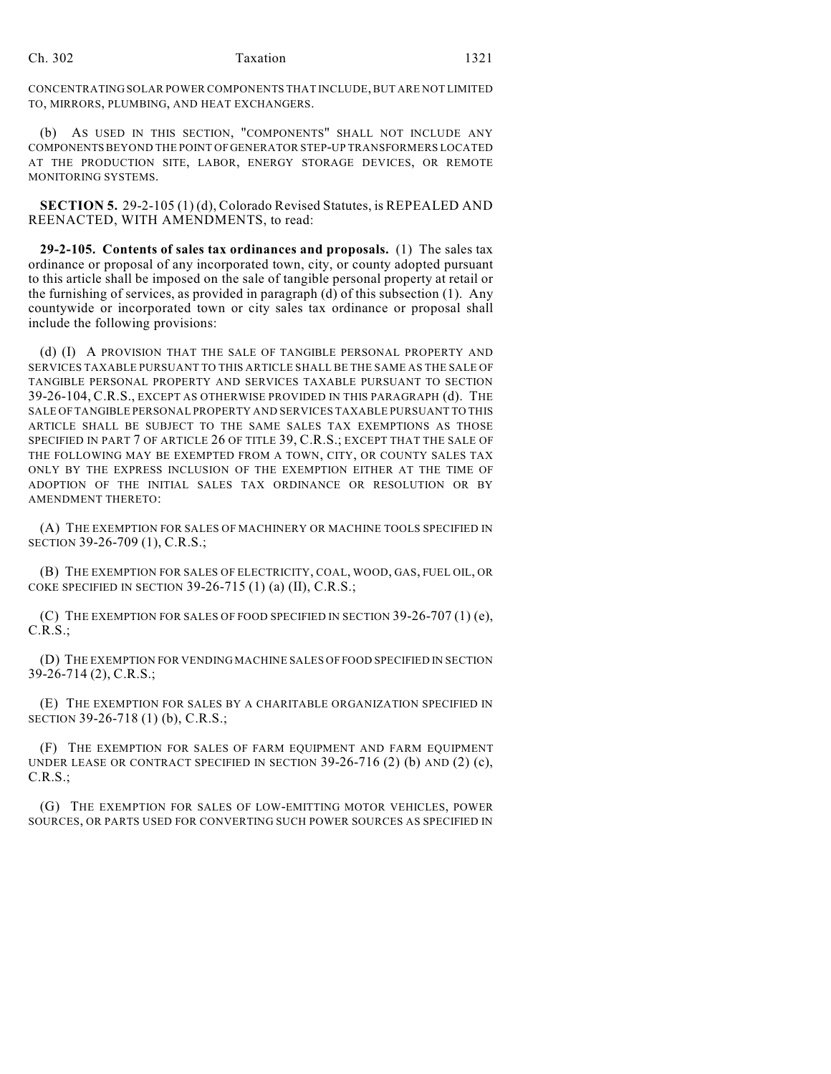#### Ch. 302 Taxation 1321

CONCENTRATING SOLAR POWER COMPONENTS THAT INCLUDE, BUT ARE NOT LIMITED TO, MIRRORS, PLUMBING, AND HEAT EXCHANGERS.

(b) AS USED IN THIS SECTION, "COMPONENTS" SHALL NOT INCLUDE ANY COMPONENTS BEYOND THE POINT OF GENERATOR STEP-UP TRANSFORMERS LOCATED AT THE PRODUCTION SITE, LABOR, ENERGY STORAGE DEVICES, OR REMOTE MONITORING SYSTEMS.

**SECTION 5.** 29-2-105 (1) (d), Colorado Revised Statutes, is REPEALED AND REENACTED, WITH AMENDMENTS, to read:

**29-2-105. Contents of sales tax ordinances and proposals.** (1) The sales tax ordinance or proposal of any incorporated town, city, or county adopted pursuant to this article shall be imposed on the sale of tangible personal property at retail or the furnishing of services, as provided in paragraph (d) of this subsection (1). Any countywide or incorporated town or city sales tax ordinance or proposal shall include the following provisions:

(d) (I) A PROVISION THAT THE SALE OF TANGIBLE PERSONAL PROPERTY AND SERVICES TAXABLE PURSUANT TO THIS ARTICLE SHALL BE THE SAME AS THE SALE OF TANGIBLE PERSONAL PROPERTY AND SERVICES TAXABLE PURSUANT TO SECTION 39-26-104, C.R.S., EXCEPT AS OTHERWISE PROVIDED IN THIS PARAGRAPH (d). THE SALE OF TANGIBLE PERSONAL PROPERTY AND SERVICES TAXABLE PURSUANT TO THIS ARTICLE SHALL BE SUBJECT TO THE SAME SALES TAX EXEMPTIONS AS THOSE SPECIFIED IN PART 7 OF ARTICLE 26 OF TITLE 39, C.R.S.; EXCEPT THAT THE SALE OF THE FOLLOWING MAY BE EXEMPTED FROM A TOWN, CITY, OR COUNTY SALES TAX ONLY BY THE EXPRESS INCLUSION OF THE EXEMPTION EITHER AT THE TIME OF ADOPTION OF THE INITIAL SALES TAX ORDINANCE OR RESOLUTION OR BY AMENDMENT THERETO:

(A) THE EXEMPTION FOR SALES OF MACHINERY OR MACHINE TOOLS SPECIFIED IN SECTION 39-26-709 (1), C.R.S.;

(B) THE EXEMPTION FOR SALES OF ELECTRICITY, COAL, WOOD, GAS, FUEL OIL, OR COKE SPECIFIED IN SECTION 39-26-715 (1) (a) (II), C.R.S.;

(C) THE EXEMPTION FOR SALES OF FOOD SPECIFIED IN SECTION  $39-26-707(1)$  (e), C.R.S.;

(D) THE EXEMPTION FOR VENDING MACHINE SALES OF FOOD SPECIFIED IN SECTION 39-26-714 (2), C.R.S.;

(E) THE EXEMPTION FOR SALES BY A CHARITABLE ORGANIZATION SPECIFIED IN SECTION 39-26-718 (1) (b), C.R.S.;

(F) THE EXEMPTION FOR SALES OF FARM EQUIPMENT AND FARM EQUIPMENT UNDER LEASE OR CONTRACT SPECIFIED IN SECTION  $39-26-716$  (2) (b) AND (2) (c), C.R.S.;

(G) THE EXEMPTION FOR SALES OF LOW-EMITTING MOTOR VEHICLES, POWER SOURCES, OR PARTS USED FOR CONVERTING SUCH POWER SOURCES AS SPECIFIED IN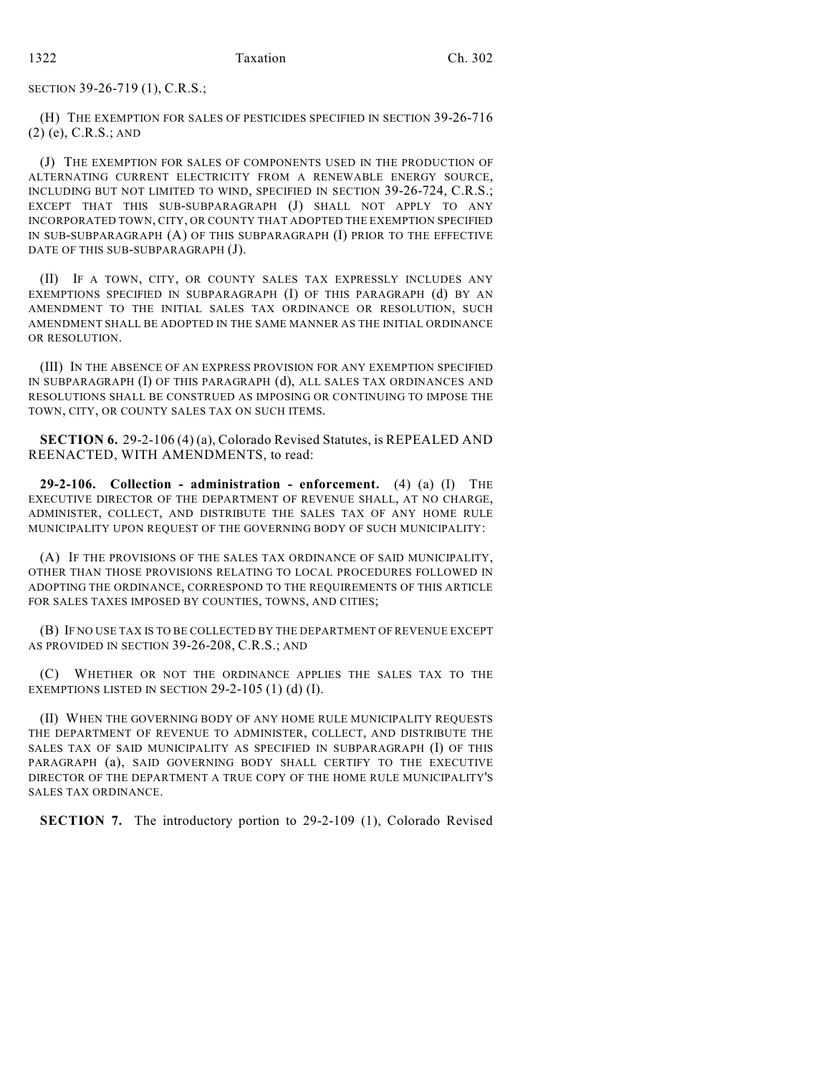SECTION 39-26-719 (1), C.R.S.;

(H) THE EXEMPTION FOR SALES OF PESTICIDES SPECIFIED IN SECTION 39-26-716 (2) (e), C.R.S.; AND

(J) THE EXEMPTION FOR SALES OF COMPONENTS USED IN THE PRODUCTION OF ALTERNATING CURRENT ELECTRICITY FROM A RENEWABLE ENERGY SOURCE, INCLUDING BUT NOT LIMITED TO WIND, SPECIFIED IN SECTION 39-26-724, C.R.S.; EXCEPT THAT THIS SUB-SUBPARAGRAPH (J) SHALL NOT APPLY TO ANY INCORPORATED TOWN, CITY, OR COUNTY THAT ADOPTED THE EXEMPTION SPECIFIED IN SUB-SUBPARAGRAPH (A) OF THIS SUBPARAGRAPH (I) PRIOR TO THE EFFECTIVE DATE OF THIS SUB-SUBPARAGRAPH (J).

(II) IF A TOWN, CITY, OR COUNTY SALES TAX EXPRESSLY INCLUDES ANY EXEMPTIONS SPECIFIED IN SUBPARAGRAPH (I) OF THIS PARAGRAPH (d) BY AN AMENDMENT TO THE INITIAL SALES TAX ORDINANCE OR RESOLUTION, SUCH AMENDMENT SHALL BE ADOPTED IN THE SAME MANNER AS THE INITIAL ORDINANCE OR RESOLUTION.

(III) IN THE ABSENCE OF AN EXPRESS PROVISION FOR ANY EXEMPTION SPECIFIED IN SUBPARAGRAPH (I) OF THIS PARAGRAPH (d), ALL SALES TAX ORDINANCES AND RESOLUTIONS SHALL BE CONSTRUED AS IMPOSING OR CONTINUING TO IMPOSE THE TOWN, CITY, OR COUNTY SALES TAX ON SUCH ITEMS.

**SECTION 6.** 29-2-106 (4) (a), Colorado Revised Statutes, is REPEALED AND REENACTED, WITH AMENDMENTS, to read:

**29-2-106. Collection - administration - enforcement.** (4) (a) (I) THE EXECUTIVE DIRECTOR OF THE DEPARTMENT OF REVENUE SHALL, AT NO CHARGE, ADMINISTER, COLLECT, AND DISTRIBUTE THE SALES TAX OF ANY HOME RULE MUNICIPALITY UPON REQUEST OF THE GOVERNING BODY OF SUCH MUNICIPALITY:

(A) IF THE PROVISIONS OF THE SALES TAX ORDINANCE OF SAID MUNICIPALITY, OTHER THAN THOSE PROVISIONS RELATING TO LOCAL PROCEDURES FOLLOWED IN ADOPTING THE ORDINANCE, CORRESPOND TO THE REQUIREMENTS OF THIS ARTICLE FOR SALES TAXES IMPOSED BY COUNTIES, TOWNS, AND CITIES;

(B) IF NO USE TAX IS TO BE COLLECTED BY THE DEPARTMENT OF REVENUE EXCEPT AS PROVIDED IN SECTION 39-26-208, C.R.S.; AND

(C) WHETHER OR NOT THE ORDINANCE APPLIES THE SALES TAX TO THE EXEMPTIONS LISTED IN SECTION  $29-2-105$  (1) (d) (I).

(II) WHEN THE GOVERNING BODY OF ANY HOME RULE MUNICIPALITY REQUESTS THE DEPARTMENT OF REVENUE TO ADMINISTER, COLLECT, AND DISTRIBUTE THE SALES TAX OF SAID MUNICIPALITY AS SPECIFIED IN SUBPARAGRAPH (I) OF THIS PARAGRAPH (a), SAID GOVERNING BODY SHALL CERTIFY TO THE EXECUTIVE DIRECTOR OF THE DEPARTMENT A TRUE COPY OF THE HOME RULE MUNICIPALITY'S SALES TAX ORDINANCE.

**SECTION 7.** The introductory portion to 29-2-109 (1), Colorado Revised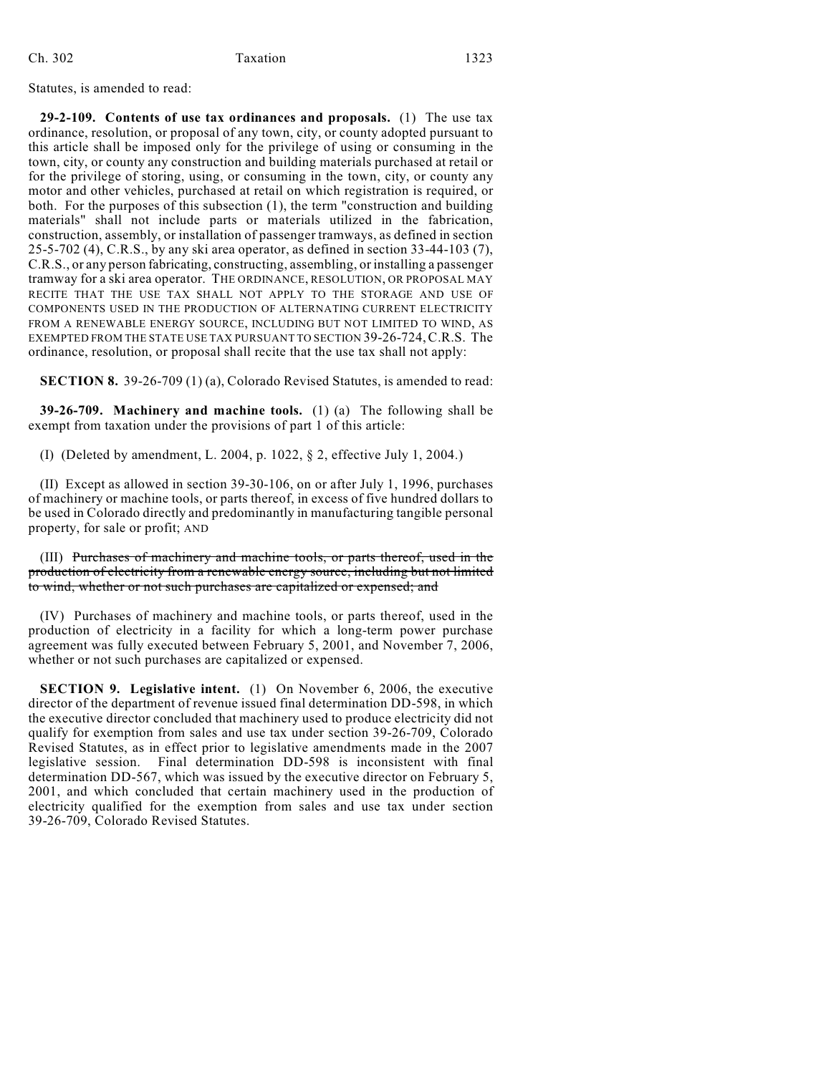## Ch. 302 Taxation 1323

Statutes, is amended to read:

**29-2-109. Contents of use tax ordinances and proposals.** (1) The use tax ordinance, resolution, or proposal of any town, city, or county adopted pursuant to this article shall be imposed only for the privilege of using or consuming in the town, city, or county any construction and building materials purchased at retail or for the privilege of storing, using, or consuming in the town, city, or county any motor and other vehicles, purchased at retail on which registration is required, or both. For the purposes of this subsection (1), the term "construction and building materials" shall not include parts or materials utilized in the fabrication, construction, assembly, or installation of passenger tramways, as defined in section 25-5-702 (4), C.R.S., by any ski area operator, as defined in section 33-44-103 (7), C.R.S., or any person fabricating, constructing, assembling, or installing a passenger tramway for a ski area operator. THE ORDINANCE, RESOLUTION, OR PROPOSAL MAY RECITE THAT THE USE TAX SHALL NOT APPLY TO THE STORAGE AND USE OF COMPONENTS USED IN THE PRODUCTION OF ALTERNATING CURRENT ELECTRICITY FROM A RENEWABLE ENERGY SOURCE, INCLUDING BUT NOT LIMITED TO WIND, AS EXEMPTED FROM THE STATE USE TAX PURSUANT TO SECTION 39-26-724,C.R.S. The ordinance, resolution, or proposal shall recite that the use tax shall not apply:

**SECTION 8.** 39-26-709 (1) (a), Colorado Revised Statutes, is amended to read:

**39-26-709. Machinery and machine tools.** (1) (a) The following shall be exempt from taxation under the provisions of part 1 of this article:

(I) (Deleted by amendment, L. 2004, p. 1022, § 2, effective July 1, 2004.)

(II) Except as allowed in section 39-30-106, on or after July 1, 1996, purchases of machinery or machine tools, or parts thereof, in excess of five hundred dollars to be used in Colorado directly and predominantly in manufacturing tangible personal property, for sale or profit; AND

(III) Purchases of machinery and machine tools, or parts thereof, used in the production of electricity from a renewable energy source, including but not limited to wind, whether or not such purchases are capitalized or expensed; and

(IV) Purchases of machinery and machine tools, or parts thereof, used in the production of electricity in a facility for which a long-term power purchase agreement was fully executed between February 5, 2001, and November 7, 2006, whether or not such purchases are capitalized or expensed.

**SECTION 9. Legislative intent.** (1) On November 6, 2006, the executive director of the department of revenue issued final determination DD-598, in which the executive director concluded that machinery used to produce electricity did not qualify for exemption from sales and use tax under section 39-26-709, Colorado Revised Statutes, as in effect prior to legislative amendments made in the 2007 legislative session. Final determination DD-598 is inconsistent with final determination DD-567, which was issued by the executive director on February 5, 2001, and which concluded that certain machinery used in the production of electricity qualified for the exemption from sales and use tax under section 39-26-709, Colorado Revised Statutes.